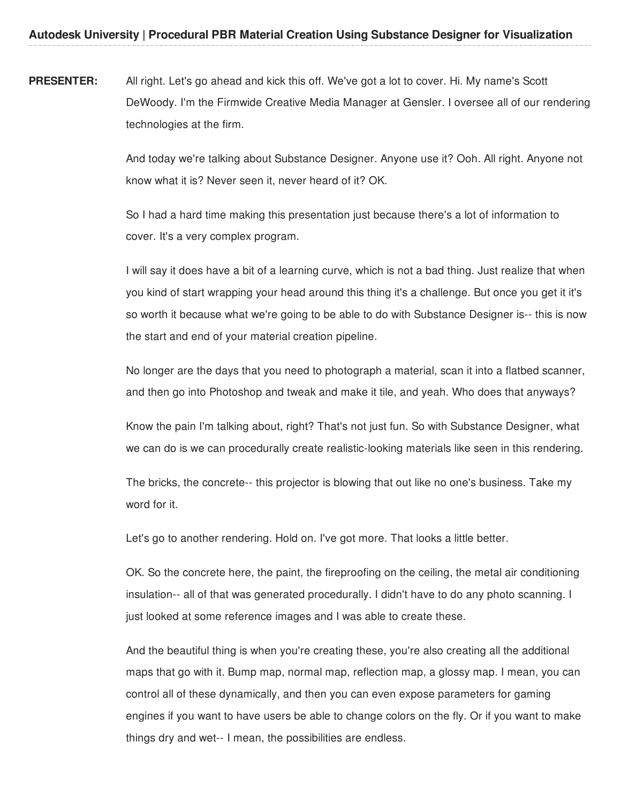**PRESENTER:** All right. Let's go ahead and kick this off. We've got a lot to cover. Hi. My name's Scott DeWoody. I'm the Firmwide Creative Media Manager at Gensler. I oversee all of our rendering technologies at the firm.

> And today we're talking about Substance Designer. Anyone use it? Ooh. All right. Anyone not know what it is? Never seen it, never heard of it? OK.

So I had a hard time making this presentation just because there's a lot of information to cover. It's a very complex program.

I will say it does have a bit of a learning curve, which is not a bad thing. Just realize that when you kind of start wrapping your head around this thing it's a challenge. But once you get it it's so worth it because what we're going to be able to do with Substance Designer is-- this is now the start and end of your material creation pipeline.

No longer are the days that you need to photograph a material, scan it into a flatbed scanner, and then go into Photoshop and tweak and make it tile, and yeah. Who does that anyways?

Know the pain I'm talking about, right? That's not just fun. So with Substance Designer, what we can do is we can procedurally create realistic-looking materials like seen in this rendering.

The bricks, the concrete-- this projector is blowing that out like no one's business. Take my word for it.

Let's go to another rendering. Hold on. I've got more. That looks a little better.

OK. So the concrete here, the paint, the fireproofing on the ceiling, the metal air conditioning insulation-- all of that was generated procedurally. I didn't have to do any photo scanning. I just looked at some reference images and I was able to create these.

And the beautiful thing is when you're creating these, you're also creating all the additional maps that go with it. Bump map, normal map, reflection map, a glossy map. I mean, you can control all of these dynamically, and then you can even expose parameters for gaming engines if you want to have users be able to change colors on the fly. Or if you want to make things dry and wet-- I mean, the possibilities are endless.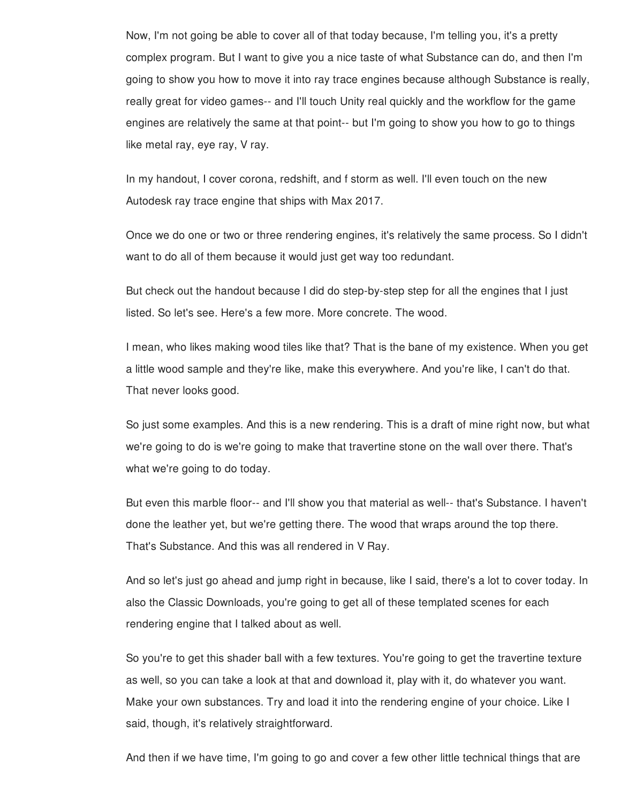Now, I'm not going be able to cover all of that today because, I'm telling you, it's a pretty complex program. But I want to give you a nice taste of what Substance can do, and then I'm going to show you how to move it into ray trace engines because although Substance is really, really great for video games-- and I'll touch Unity real quickly and the workflow for the game engines are relatively the same at that point-- but I'm going to show you how to go to things like metal ray, eye ray, V ray.

In my handout, I cover corona, redshift, and f storm as well. I'll even touch on the new Autodesk ray trace engine that ships with Max 2017.

Once we do one or two or three rendering engines, it's relatively the same process. So I didn't want to do all of them because it would just get way too redundant.

But check out the handout because I did do step-by-step step for all the engines that I just listed. So let's see. Here's a few more. More concrete. The wood.

I mean, who likes making wood tiles like that? That is the bane of my existence. When you get a little wood sample and they're like, make this everywhere. And you're like, I can't do that. That never looks good.

So just some examples. And this is a new rendering. This is a draft of mine right now, but what we're going to do is we're going to make that travertine stone on the wall over there. That's what we're going to do today.

But even this marble floor-- and I'll show you that material as well-- that's Substance. I haven't done the leather yet, but we're getting there. The wood that wraps around the top there. That's Substance. And this was all rendered in V Ray.

And so let's just go ahead and jump right in because, like I said, there's a lot to cover today. In also the Classic Downloads, you're going to get all of these templated scenes for each rendering engine that I talked about as well.

So you're to get this shader ball with a few textures. You're going to get the travertine texture as well, so you can take a look at that and download it, play with it, do whatever you want. Make your own substances. Try and load it into the rendering engine of your choice. Like I said, though, it's relatively straightforward.

And then if we have time, I'm going to go and cover a few other little technical things that are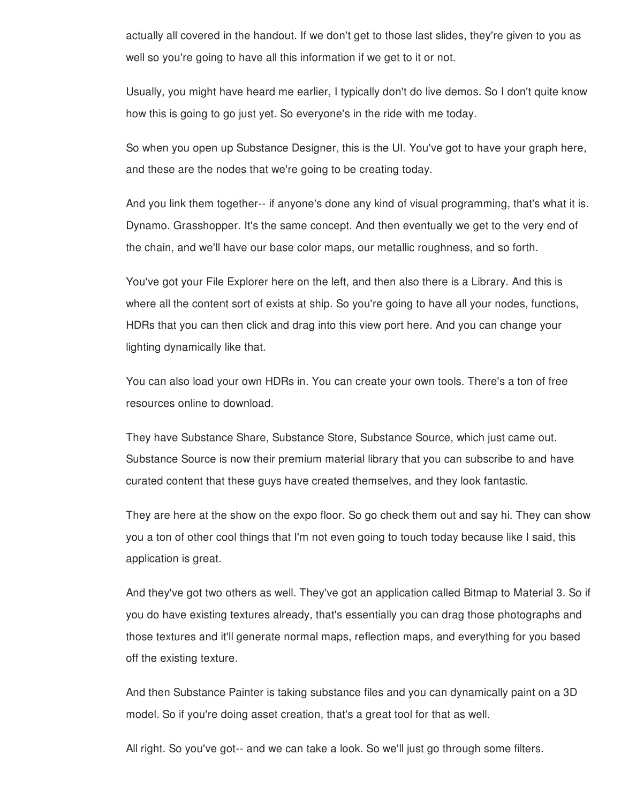actually all covered in the handout. If we don't get to those last slides, they're given to you as well so you're going to have all this information if we get to it or not.

Usually, you might have heard me earlier, I typically don't do live demos. So I don't quite know how this is going to go just yet. So everyone's in the ride with me today.

So when you open up Substance Designer, this is the UI. You've got to have your graph here, and these are the nodes that we're going to be creating today.

And you link them together-- if anyone's done any kind of visual programming, that's what it is. Dynamo. Grasshopper. It's the same concept. And then eventually we get to the very end of the chain, and we'll have our base color maps, our metallic roughness, and so forth.

You've got your File Explorer here on the left, and then also there is a Library. And this is where all the content sort of exists at ship. So you're going to have all your nodes, functions, HDRs that you can then click and drag into this view port here. And you can change your lighting dynamically like that.

You can also load your own HDRs in. You can create your own tools. There's a ton of free resources online to download.

They have Substance Share, Substance Store, Substance Source, which just came out. Substance Source is now their premium material library that you can subscribe to and have curated content that these guys have created themselves, and they look fantastic.

They are here at the show on the expo floor. So go check them out and say hi. They can show you a ton of other cool things that I'm not even going to touch today because like I said, this application is great.

And they've got two others as well. They've got an application called Bitmap to Material 3. So if you do have existing textures already, that's essentially you can drag those photographs and those textures and it'll generate normal maps, reflection maps, and everything for you based off the existing texture.

And then Substance Painter is taking substance files and you can dynamically paint on a 3D model. So if you're doing asset creation, that's a great tool for that as well.

All right. So you've got-- and we can take a look. So we'll just go through some filters.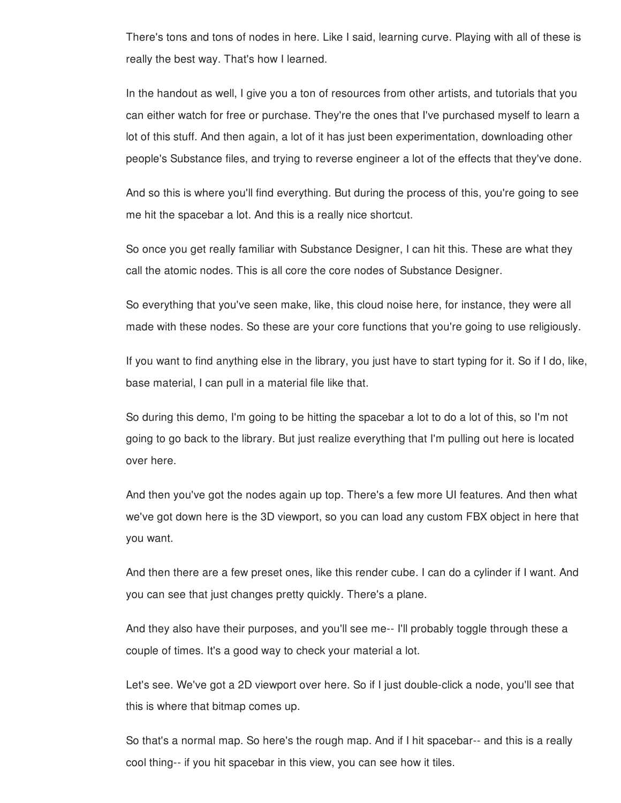There's tons and tons of nodes in here. Like I said, learning curve. Playing with all of these is really the best way. That's how I learned.

In the handout as well, I give you a ton of resources from other artists, and tutorials that you can either watch for free or purchase. They're the ones that I've purchased myself to learn a lot of this stuff. And then again, a lot of it has just been experimentation, downloading other people's Substance files, and trying to reverse engineer a lot of the effects that they've done.

And so this is where you'll find everything. But during the process of this, you're going to see me hit the spacebar a lot. And this is a really nice shortcut.

So once you get really familiar with Substance Designer, I can hit this. These are what they call the atomic nodes. This is all core the core nodes of Substance Designer.

So everything that you've seen make, like, this cloud noise here, for instance, they were all made with these nodes. So these are your core functions that you're going to use religiously.

If you want to find anything else in the library, you just have to start typing for it. So if I do, like, base material, I can pull in a material file like that.

So during this demo, I'm going to be hitting the spacebar a lot to do a lot of this, so I'm not going to go back to the library. But just realize everything that I'm pulling out here is located over here.

And then you've got the nodes again up top. There's a few more UI features. And then what we've got down here is the 3D viewport, so you can load any custom FBX object in here that you want.

And then there are a few preset ones, like this render cube. I can do a cylinder if I want. And you can see that just changes pretty quickly. There's a plane.

And they also have their purposes, and you'll see me-- I'll probably toggle through these a couple of times. It's a good way to check your material a lot.

Let's see. We've got a 2D viewport over here. So if I just double-click a node, you'll see that this is where that bitmap comes up.

So that's a normal map. So here's the rough map. And if I hit spacebar-- and this is a really cool thing-- if you hit spacebar in this view, you can see how it tiles.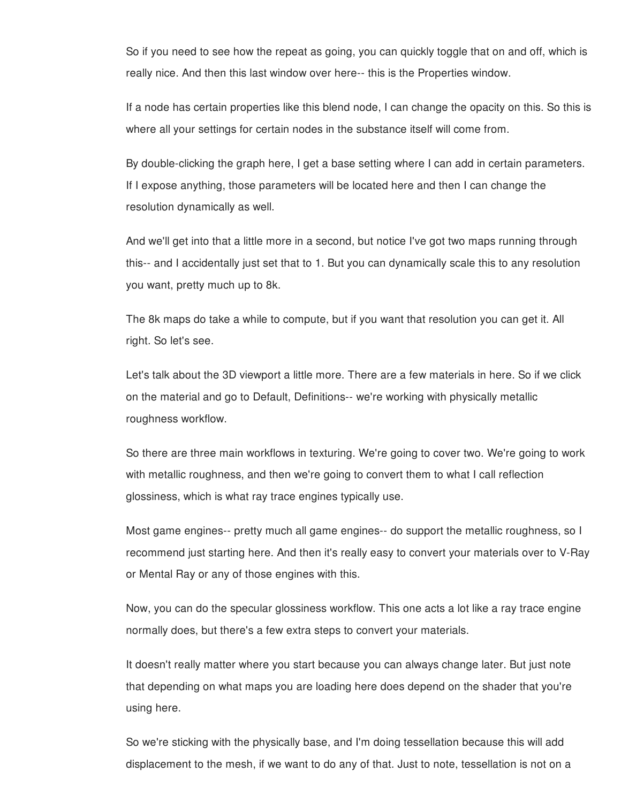So if you need to see how the repeat as going, you can quickly toggle that on and off, which is really nice. And then this last window over here-- this is the Properties window.

If a node has certain properties like this blend node, I can change the opacity on this. So this is where all your settings for certain nodes in the substance itself will come from.

By double-clicking the graph here, I get a base setting where I can add in certain parameters. If I expose anything, those parameters will be located here and then I can change the resolution dynamically as well.

And we'll get into that a little more in a second, but notice I've got two maps running through this-- and I accidentally just set that to 1. But you can dynamically scale this to any resolution you want, pretty much up to 8k.

The 8k maps do take a while to compute, but if you want that resolution you can get it. All right. So let's see.

Let's talk about the 3D viewport a little more. There are a few materials in here. So if we click on the material and go to Default, Definitions-- we're working with physically metallic roughness workflow.

So there are three main workflows in texturing. We're going to cover two. We're going to work with metallic roughness, and then we're going to convert them to what I call reflection glossiness, which is what ray trace engines typically use.

Most game engines-- pretty much all game engines-- do support the metallic roughness, so I recommend just starting here. And then it's really easy to convert your materials over to V-Ray or Mental Ray or any of those engines with this.

Now, you can do the specular glossiness workflow. This one acts a lot like a ray trace engine normally does, but there's a few extra steps to convert your materials.

It doesn't really matter where you start because you can always change later. But just note that depending on what maps you are loading here does depend on the shader that you're using here.

So we're sticking with the physically base, and I'm doing tessellation because this will add displacement to the mesh, if we want to do any of that. Just to note, tessellation is not on a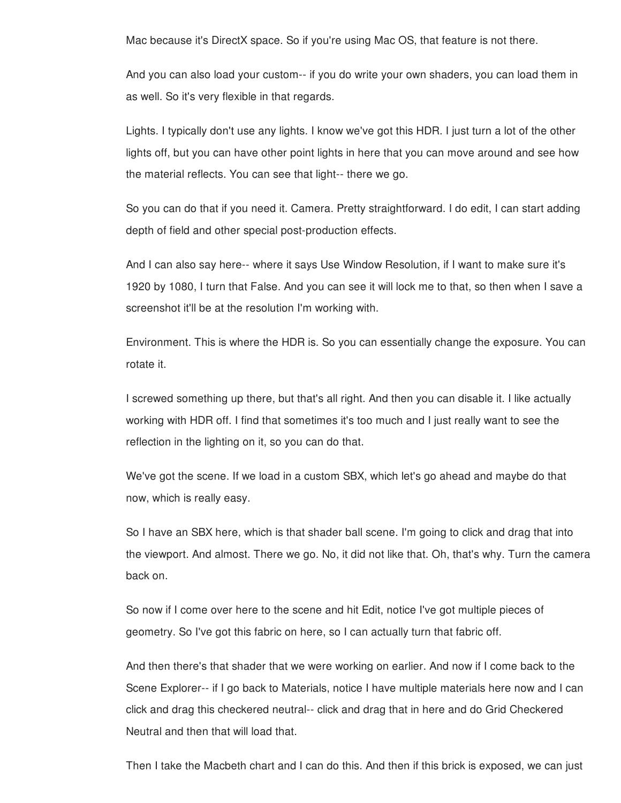Mac because it's DirectX space. So if you're using Mac OS, that feature is not there.

And you can also load your custom-- if you do write your own shaders, you can load them in as well. So it's very flexible in that regards.

Lights. I typically don't use any lights. I know we've got this HDR. I just turn a lot of the other lights off, but you can have other point lights in here that you can move around and see how the material reflects. You can see that light-- there we go.

So you can do that if you need it. Camera. Pretty straightforward. I do edit, I can start adding depth of field and other special post-production effects.

And I can also say here-- where it says Use Window Resolution, if I want to make sure it's 1920 by 1080, I turn that False. And you can see it will lock me to that, so then when I save a screenshot it'll be at the resolution I'm working with.

Environment. This is where the HDR is. So you can essentially change the exposure. You can rotate it.

I screwed something up there, but that's all right. And then you can disable it. I like actually working with HDR off. I find that sometimes it's too much and I just really want to see the reflection in the lighting on it, so you can do that.

We've got the scene. If we load in a custom SBX, which let's go ahead and maybe do that now, which is really easy.

So I have an SBX here, which is that shader ball scene. I'm going to click and drag that into the viewport. And almost. There we go. No, it did not like that. Oh, that's why. Turn the camera back on.

So now if I come over here to the scene and hit Edit, notice I've got multiple pieces of geometry. So I've got this fabric on here, so I can actually turn that fabric off.

And then there's that shader that we were working on earlier. And now if I come back to the Scene Explorer-- if I go back to Materials, notice I have multiple materials here now and I can click and drag this checkered neutral-- click and drag that in here and do Grid Checkered Neutral and then that will load that.

Then I take the Macbeth chart and I can do this. And then if this brick is exposed, we can just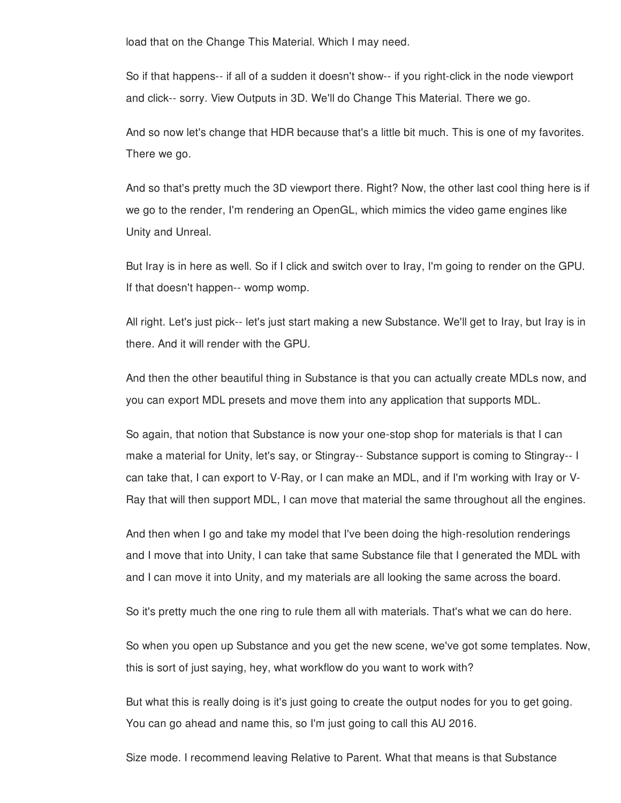load that on the Change This Material. Which I may need.

So if that happens-- if all of a sudden it doesn't show-- if you right-click in the node viewport and click-- sorry. View Outputs in 3D. We'll do Change This Material. There we go.

And so now let's change that HDR because that's a little bit much. This is one of my favorites. There we go.

And so that's pretty much the 3D viewport there. Right? Now, the other last cool thing here is if we go to the render, I'm rendering an OpenGL, which mimics the video game engines like Unity and Unreal.

But Iray is in here as well. So if I click and switch over to Iray, I'm going to render on the GPU. If that doesn't happen-- womp womp.

All right. Let's just pick-- let's just start making a new Substance. We'll get to Iray, but Iray is in there. And it will render with the GPU.

And then the other beautiful thing in Substance is that you can actually create MDLs now, and you can export MDL presets and move them into any application that supports MDL.

So again, that notion that Substance is now your one-stop shop for materials is that I can make a material for Unity, let's say, or Stingray-- Substance support is coming to Stingray-- I can take that, I can export to V-Ray, or I can make an MDL, and if I'm working with Iray or V-Ray that will then support MDL, I can move that material the same throughout all the engines.

And then when I go and take my model that I've been doing the high-resolution renderings and I move that into Unity, I can take that same Substance file that I generated the MDL with and I can move it into Unity, and my materials are all looking the same across the board.

So it's pretty much the one ring to rule them all with materials. That's what we can do here.

So when you open up Substance and you get the new scene, we've got some templates. Now, this is sort of just saying, hey, what workflow do you want to work with?

But what this is really doing is it's just going to create the output nodes for you to get going. You can go ahead and name this, so I'm just going to call this AU 2016.

Size mode. I recommend leaving Relative to Parent. What that means is that Substance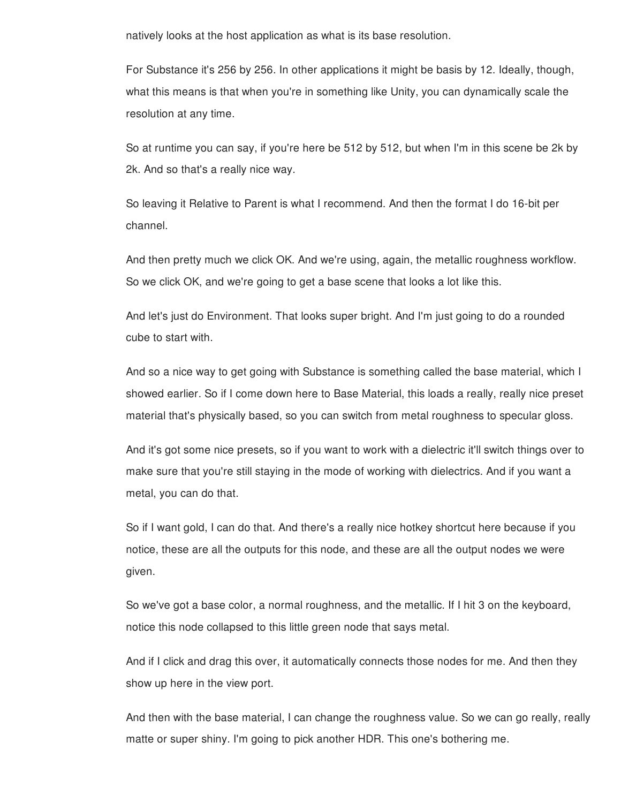natively looks at the host application as what is its base resolution.

For Substance it's 256 by 256. In other applications it might be basis by 12. Ideally, though, what this means is that when you're in something like Unity, you can dynamically scale the resolution at any time.

So at runtime you can say, if you're here be 512 by 512, but when I'm in this scene be 2k by 2k. And so that's a really nice way.

So leaving it Relative to Parent is what I recommend. And then the format I do 16-bit per channel.

And then pretty much we click OK. And we're using, again, the metallic roughness workflow. So we click OK, and we're going to get a base scene that looks a lot like this.

And let's just do Environment. That looks super bright. And I'm just going to do a rounded cube to start with.

And so a nice way to get going with Substance is something called the base material, which I showed earlier. So if I come down here to Base Material, this loads a really, really nice preset material that's physically based, so you can switch from metal roughness to specular gloss.

And it's got some nice presets, so if you want to work with a dielectric it'll switch things over to make sure that you're still staying in the mode of working with dielectrics. And if you want a metal, you can do that.

So if I want gold, I can do that. And there's a really nice hotkey shortcut here because if you notice, these are all the outputs for this node, and these are all the output nodes we were given.

So we've got a base color, a normal roughness, and the metallic. If I hit 3 on the keyboard, notice this node collapsed to this little green node that says metal.

And if I click and drag this over, it automatically connects those nodes for me. And then they show up here in the view port.

And then with the base material, I can change the roughness value. So we can go really, really matte or super shiny. I'm going to pick another HDR. This one's bothering me.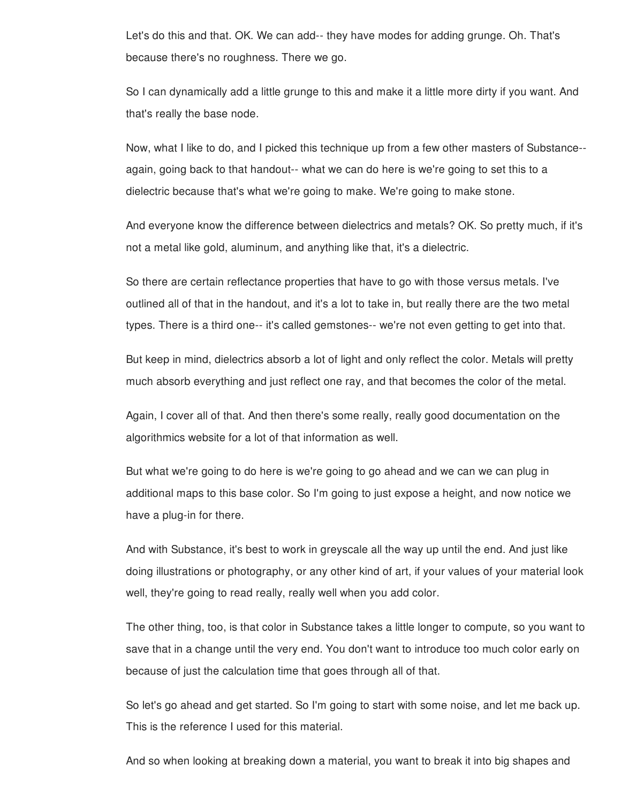Let's do this and that. OK. We can add-- they have modes for adding grunge. Oh. That's because there's no roughness. There we go.

So I can dynamically add a little grunge to this and make it a little more dirty if you want. And that's really the base node.

Now, what I like to do, and I picked this technique up from a few other masters of Substance- again, going back to that handout-- what we can do here is we're going to set this to a dielectric because that's what we're going to make. We're going to make stone.

And everyone know the difference between dielectrics and metals? OK. So pretty much, if it's not a metal like gold, aluminum, and anything like that, it's a dielectric.

So there are certain reflectance properties that have to go with those versus metals. I've outlined all of that in the handout, and it's a lot to take in, but really there are the two metal types. There is a third one-- it's called gemstones-- we're not even getting to get into that.

But keep in mind, dielectrics absorb a lot of light and only reflect the color. Metals will pretty much absorb everything and just reflect one ray, and that becomes the color of the metal.

Again, I cover all of that. And then there's some really, really good documentation on the algorithmics website for a lot of that information as well.

But what we're going to do here is we're going to go ahead and we can we can plug in additional maps to this base color. So I'm going to just expose a height, and now notice we have a plug-in for there.

And with Substance, it's best to work in greyscale all the way up until the end. And just like doing illustrations or photography, or any other kind of art, if your values of your material look well, they're going to read really, really well when you add color.

The other thing, too, is that color in Substance takes a little longer to compute, so you want to save that in a change until the very end. You don't want to introduce too much color early on because of just the calculation time that goes through all of that.

So let's go ahead and get started. So I'm going to start with some noise, and let me back up. This is the reference I used for this material.

And so when looking at breaking down a material, you want to break it into big shapes and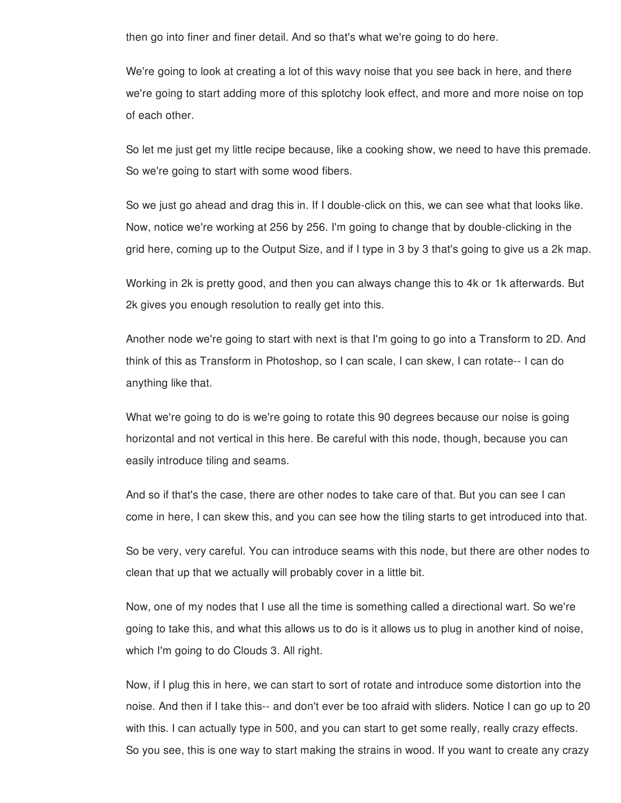then go into finer and finer detail. And so that's what we're going to do here.

We're going to look at creating a lot of this wavy noise that you see back in here, and there we're going to start adding more of this splotchy look effect, and more and more noise on top of each other.

So let me just get my little recipe because, like a cooking show, we need to have this premade. So we're going to start with some wood fibers.

So we just go ahead and drag this in. If I double-click on this, we can see what that looks like. Now, notice we're working at 256 by 256. I'm going to change that by double-clicking in the grid here, coming up to the Output Size, and if I type in 3 by 3 that's going to give us a 2k map.

Working in 2k is pretty good, and then you can always change this to 4k or 1k afterwards. But 2k gives you enough resolution to really get into this.

Another node we're going to start with next is that I'm going to go into a Transform to 2D. And think of this as Transform in Photoshop, so I can scale, I can skew, I can rotate-- I can do anything like that.

What we're going to do is we're going to rotate this 90 degrees because our noise is going horizontal and not vertical in this here. Be careful with this node, though, because you can easily introduce tiling and seams.

And so if that's the case, there are other nodes to take care of that. But you can see I can come in here, I can skew this, and you can see how the tiling starts to get introduced into that.

So be very, very careful. You can introduce seams with this node, but there are other nodes to clean that up that we actually will probably cover in a little bit.

Now, one of my nodes that I use all the time is something called a directional wart. So we're going to take this, and what this allows us to do is it allows us to plug in another kind of noise, which I'm going to do Clouds 3. All right.

Now, if I plug this in here, we can start to sort of rotate and introduce some distortion into the noise. And then if I take this-- and don't ever be too afraid with sliders. Notice I can go up to 20 with this. I can actually type in 500, and you can start to get some really, really crazy effects. So you see, this is one way to start making the strains in wood. If you want to create any crazy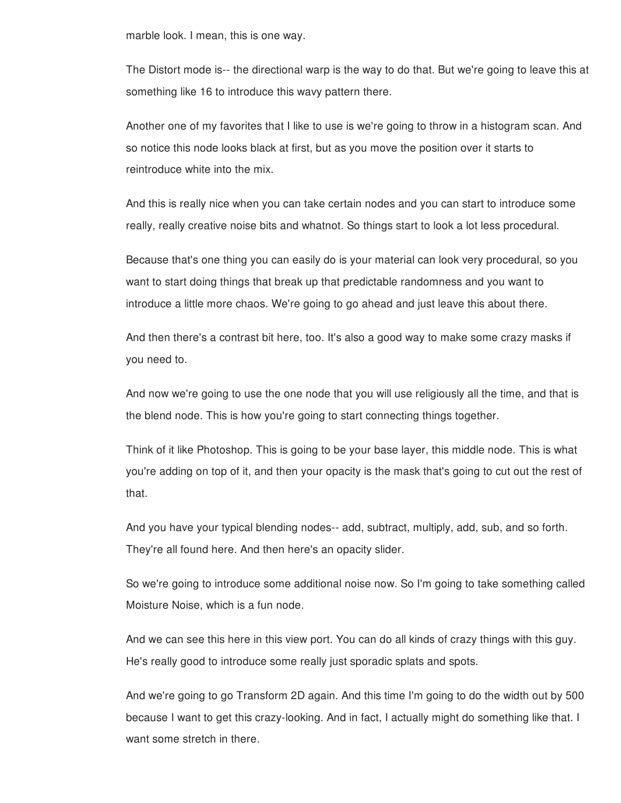marble look. I mean, this is one way.

The Distort mode is-- the directional warp is the way to do that. But we're going to leave this at something like 16 to introduce this wavy pattern there.

Another one of my favorites that I like to use is we're going to throw in a histogram scan. And so notice this node looks black at first, but as you move the position over it starts to reintroduce white into the mix.

And this is really nice when you can take certain nodes and you can start to introduce some really, really creative noise bits and whatnot. So things start to look a lot less procedural.

Because that's one thing you can easily do is your material can look very procedural, so you want to start doing things that break up that predictable randomness and you want to introduce a little more chaos. We're going to go ahead and just leave this about there.

And then there's a contrast bit here, too. It's also a good way to make some crazy masks if you need to.

And now we're going to use the one node that you will use religiously all the time, and that is the blend node. This is how you're going to start connecting things together.

Think of it like Photoshop. This is going to be your base layer, this middle node. This is what you're adding on top of it, and then your opacity is the mask that's going to cut out the rest of that.

And you have your typical blending nodes-- add, subtract, multiply, add, sub, and so forth. They're all found here. And then here's an opacity slider.

So we're going to introduce some additional noise now. So I'm going to take something called Moisture Noise, which is a fun node.

And we can see this here in this view port. You can do all kinds of crazy things with this guy. He's really good to introduce some really just sporadic splats and spots.

And we're going to go Transform 2D again. And this time I'm going to do the width out by 500 because I want to get this crazy-looking. And in fact, I actually might do something like that. I want some stretch in there.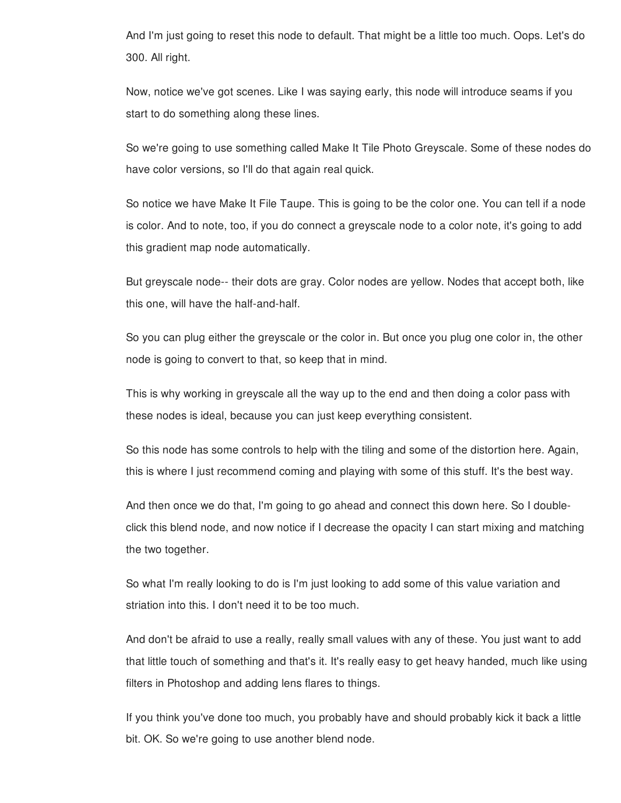And I'm just going to reset this node to default. That might be a little too much. Oops. Let's do 300. All right.

Now, notice we've got scenes. Like I was saying early, this node will introduce seams if you start to do something along these lines.

So we're going to use something called Make It Tile Photo Greyscale. Some of these nodes do have color versions, so I'll do that again real quick.

So notice we have Make It File Taupe. This is going to be the color one. You can tell if a node is color. And to note, too, if you do connect a greyscale node to a color note, it's going to add this gradient map node automatically.

But greyscale node-- their dots are gray. Color nodes are yellow. Nodes that accept both, like this one, will have the half-and-half.

So you can plug either the greyscale or the color in. But once you plug one color in, the other node is going to convert to that, so keep that in mind.

This is why working in greyscale all the way up to the end and then doing a color pass with these nodes is ideal, because you can just keep everything consistent.

So this node has some controls to help with the tiling and some of the distortion here. Again, this is where I just recommend coming and playing with some of this stuff. It's the best way.

And then once we do that, I'm going to go ahead and connect this down here. So I doubleclick this blend node, and now notice if I decrease the opacity I can start mixing and matching the two together.

So what I'm really looking to do is I'm just looking to add some of this value variation and striation into this. I don't need it to be too much.

And don't be afraid to use a really, really small values with any of these. You just want to add that little touch of something and that's it. It's really easy to get heavy handed, much like using filters in Photoshop and adding lens flares to things.

If you think you've done too much, you probably have and should probably kick it back a little bit. OK. So we're going to use another blend node.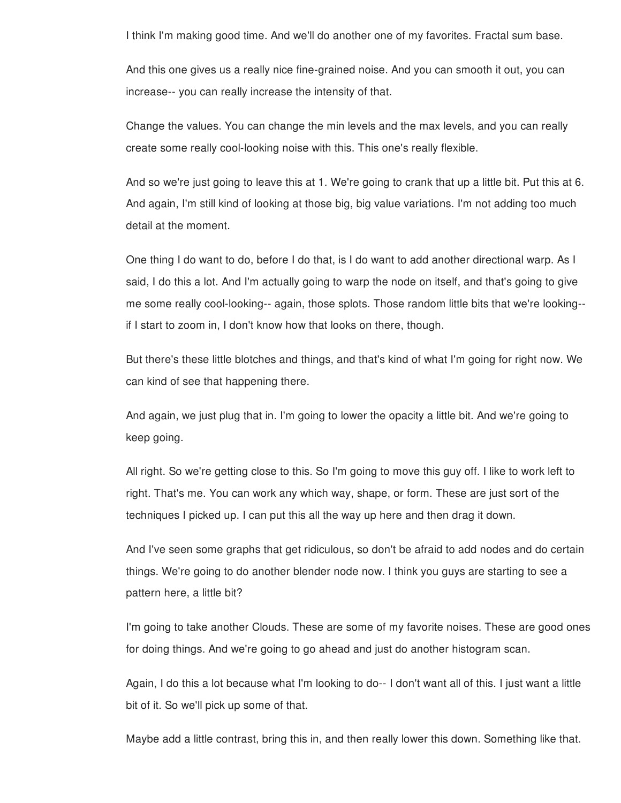I think I'm making good time. And we'll do another one of my favorites. Fractal sum base.

And this one gives us a really nice fine-grained noise. And you can smooth it out, you can increase-- you can really increase the intensity of that.

Change the values. You can change the min levels and the max levels, and you can really create some really cool-looking noise with this. This one's really flexible.

And so we're just going to leave this at 1. We're going to crank that up a little bit. Put this at 6. And again, I'm still kind of looking at those big, big value variations. I'm not adding too much detail at the moment.

One thing I do want to do, before I do that, is I do want to add another directional warp. As I said, I do this a lot. And I'm actually going to warp the node on itself, and that's going to give me some really cool-looking-- again, those splots. Those random little bits that we're looking- if I start to zoom in, I don't know how that looks on there, though.

But there's these little blotches and things, and that's kind of what I'm going for right now. We can kind of see that happening there.

And again, we just plug that in. I'm going to lower the opacity a little bit. And we're going to keep going.

All right. So we're getting close to this. So I'm going to move this guy off. I like to work left to right. That's me. You can work any which way, shape, or form. These are just sort of the techniques I picked up. I can put this all the way up here and then drag it down.

And I've seen some graphs that get ridiculous, so don't be afraid to add nodes and do certain things. We're going to do another blender node now. I think you guys are starting to see a pattern here, a little bit?

I'm going to take another Clouds. These are some of my favorite noises. These are good ones for doing things. And we're going to go ahead and just do another histogram scan.

Again, I do this a lot because what I'm looking to do-- I don't want all of this. I just want a little bit of it. So we'll pick up some of that.

Maybe add a little contrast, bring this in, and then really lower this down. Something like that.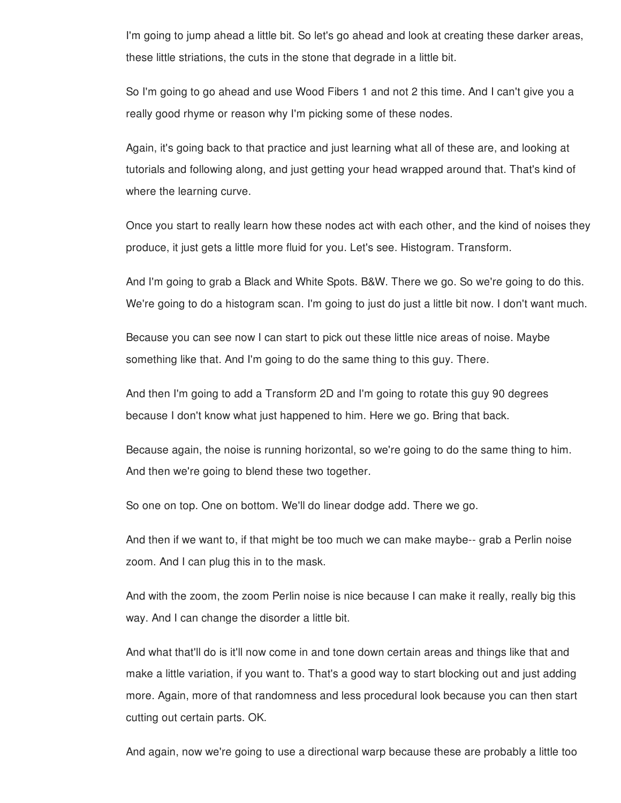I'm going to jump ahead a little bit. So let's go ahead and look at creating these darker areas, these little striations, the cuts in the stone that degrade in a little bit.

So I'm going to go ahead and use Wood Fibers 1 and not 2 this time. And I can't give you a really good rhyme or reason why I'm picking some of these nodes.

Again, it's going back to that practice and just learning what all of these are, and looking at tutorials and following along, and just getting your head wrapped around that. That's kind of where the learning curve.

Once you start to really learn how these nodes act with each other, and the kind of noises they produce, it just gets a little more fluid for you. Let's see. Histogram. Transform.

And I'm going to grab a Black and White Spots. B&W. There we go. So we're going to do this. We're going to do a histogram scan. I'm going to just do just a little bit now. I don't want much.

Because you can see now I can start to pick out these little nice areas of noise. Maybe something like that. And I'm going to do the same thing to this guy. There.

And then I'm going to add a Transform 2D and I'm going to rotate this guy 90 degrees because I don't know what just happened to him. Here we go. Bring that back.

Because again, the noise is running horizontal, so we're going to do the same thing to him. And then we're going to blend these two together.

So one on top. One on bottom. We'll do linear dodge add. There we go.

And then if we want to, if that might be too much we can make maybe-- grab a Perlin noise zoom. And I can plug this in to the mask.

And with the zoom, the zoom Perlin noise is nice because I can make it really, really big this way. And I can change the disorder a little bit.

And what that'll do is it'll now come in and tone down certain areas and things like that and make a little variation, if you want to. That's a good way to start blocking out and just adding more. Again, more of that randomness and less procedural look because you can then start cutting out certain parts. OK.

And again, now we're going to use a directional warp because these are probably a little too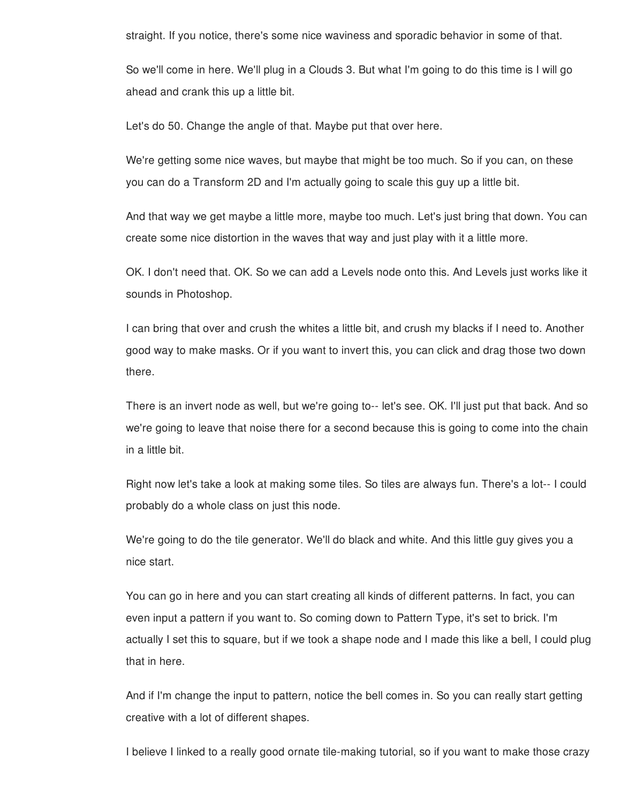straight. If you notice, there's some nice waviness and sporadic behavior in some of that.

So we'll come in here. We'll plug in a Clouds 3. But what I'm going to do this time is I will go ahead and crank this up a little bit.

Let's do 50. Change the angle of that. Maybe put that over here.

We're getting some nice waves, but maybe that might be too much. So if you can, on these you can do a Transform 2D and I'm actually going to scale this guy up a little bit.

And that way we get maybe a little more, maybe too much. Let's just bring that down. You can create some nice distortion in the waves that way and just play with it a little more.

OK. I don't need that. OK. So we can add a Levels node onto this. And Levels just works like it sounds in Photoshop.

I can bring that over and crush the whites a little bit, and crush my blacks if I need to. Another good way to make masks. Or if you want to invert this, you can click and drag those two down there.

There is an invert node as well, but we're going to-- let's see. OK. I'll just put that back. And so we're going to leave that noise there for a second because this is going to come into the chain in a little bit.

Right now let's take a look at making some tiles. So tiles are always fun. There's a lot-- I could probably do a whole class on just this node.

We're going to do the tile generator. We'll do black and white. And this little guy gives you a nice start.

You can go in here and you can start creating all kinds of different patterns. In fact, you can even input a pattern if you want to. So coming down to Pattern Type, it's set to brick. I'm actually I set this to square, but if we took a shape node and I made this like a bell, I could plug that in here.

And if I'm change the input to pattern, notice the bell comes in. So you can really start getting creative with a lot of different shapes.

I believe I linked to a really good ornate tile-making tutorial, so if you want to make those crazy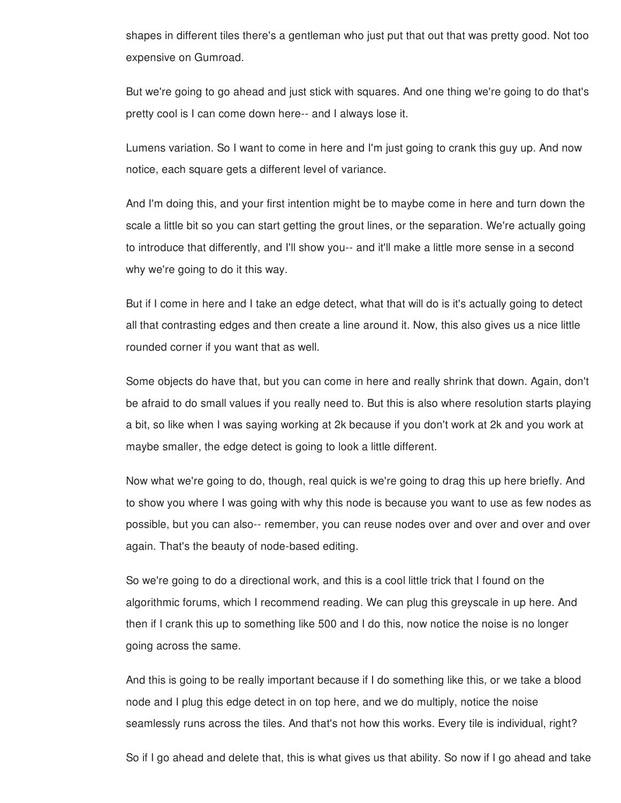shapes in different tiles there's a gentleman who just put that out that was pretty good. Not too expensive on Gumroad.

But we're going to go ahead and just stick with squares. And one thing we're going to do that's pretty cool is I can come down here-- and I always lose it.

Lumens variation. So I want to come in here and I'm just going to crank this guy up. And now notice, each square gets a different level of variance.

And I'm doing this, and your first intention might be to maybe come in here and turn down the scale a little bit so you can start getting the grout lines, or the separation. We're actually going to introduce that differently, and I'll show you-- and it'll make a little more sense in a second why we're going to do it this way.

But if I come in here and I take an edge detect, what that will do is it's actually going to detect all that contrasting edges and then create a line around it. Now, this also gives us a nice little rounded corner if you want that as well.

Some objects do have that, but you can come in here and really shrink that down. Again, don't be afraid to do small values if you really need to. But this is also where resolution starts playing a bit, so like when I was saying working at 2k because if you don't work at 2k and you work at maybe smaller, the edge detect is going to look a little different.

Now what we're going to do, though, real quick is we're going to drag this up here briefly. And to show you where I was going with why this node is because you want to use as few nodes as possible, but you can also-- remember, you can reuse nodes over and over and over and over again. That's the beauty of node-based editing.

So we're going to do a directional work, and this is a cool little trick that I found on the algorithmic forums, which I recommend reading. We can plug this greyscale in up here. And then if I crank this up to something like 500 and I do this, now notice the noise is no longer going across the same.

And this is going to be really important because if I do something like this, or we take a blood node and I plug this edge detect in on top here, and we do multiply, notice the noise seamlessly runs across the tiles. And that's not how this works. Every tile is individual, right?

So if I go ahead and delete that, this is what gives us that ability. So now if I go ahead and take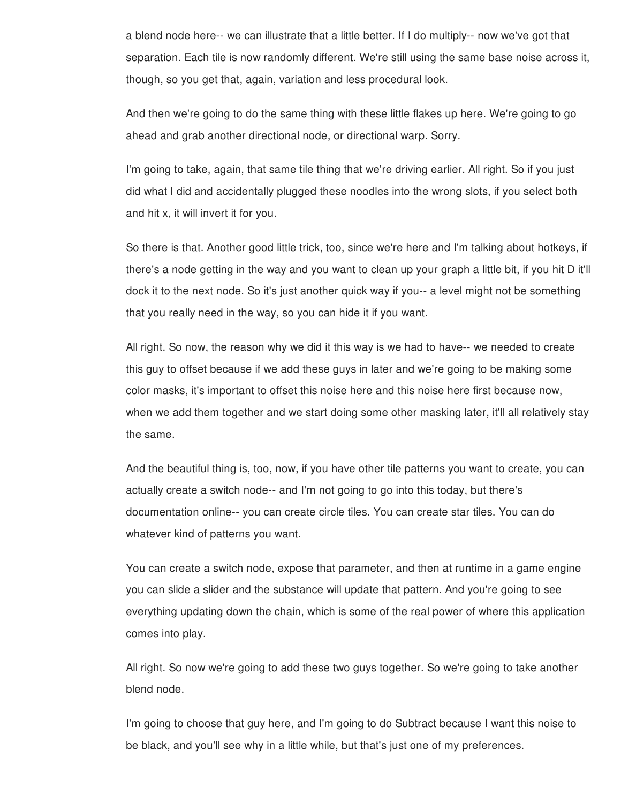a blend node here-- we can illustrate that a little better. If I do multiply-- now we've got that separation. Each tile is now randomly different. We're still using the same base noise across it, though, so you get that, again, variation and less procedural look.

And then we're going to do the same thing with these little flakes up here. We're going to go ahead and grab another directional node, or directional warp. Sorry.

I'm going to take, again, that same tile thing that we're driving earlier. All right. So if you just did what I did and accidentally plugged these noodles into the wrong slots, if you select both and hit x, it will invert it for you.

So there is that. Another good little trick, too, since we're here and I'm talking about hotkeys, if there's a node getting in the way and you want to clean up your graph a little bit, if you hit D it'll dock it to the next node. So it's just another quick way if you-- a level might not be something that you really need in the way, so you can hide it if you want.

All right. So now, the reason why we did it this way is we had to have-- we needed to create this guy to offset because if we add these guys in later and we're going to be making some color masks, it's important to offset this noise here and this noise here first because now, when we add them together and we start doing some other masking later, it'll all relatively stay the same.

And the beautiful thing is, too, now, if you have other tile patterns you want to create, you can actually create a switch node-- and I'm not going to go into this today, but there's documentation online-- you can create circle tiles. You can create star tiles. You can do whatever kind of patterns you want.

You can create a switch node, expose that parameter, and then at runtime in a game engine you can slide a slider and the substance will update that pattern. And you're going to see everything updating down the chain, which is some of the real power of where this application comes into play.

All right. So now we're going to add these two guys together. So we're going to take another blend node.

I'm going to choose that guy here, and I'm going to do Subtract because I want this noise to be black, and you'll see why in a little while, but that's just one of my preferences.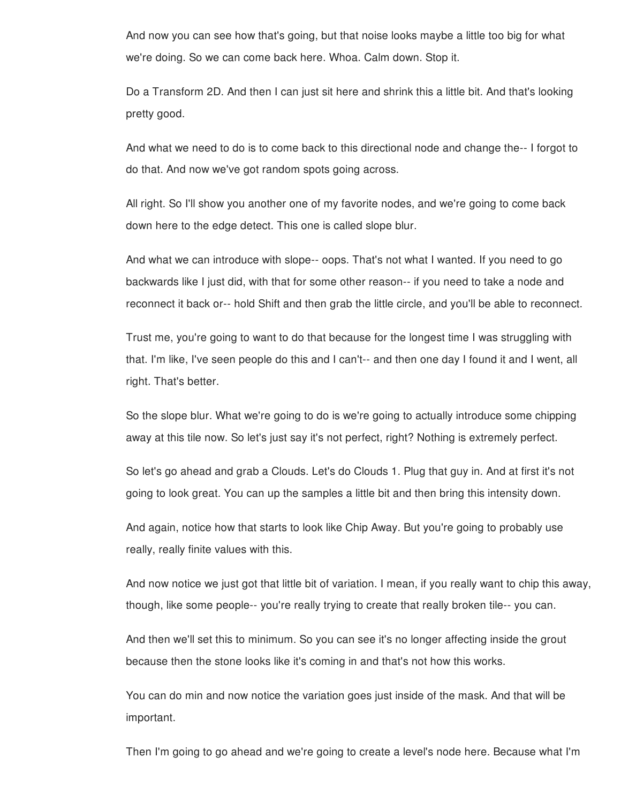And now you can see how that's going, but that noise looks maybe a little too big for what we're doing. So we can come back here. Whoa. Calm down. Stop it.

Do a Transform 2D. And then I can just sit here and shrink this a little bit. And that's looking pretty good.

And what we need to do is to come back to this directional node and change the-- I forgot to do that. And now we've got random spots going across.

All right. So I'll show you another one of my favorite nodes, and we're going to come back down here to the edge detect. This one is called slope blur.

And what we can introduce with slope-- oops. That's not what I wanted. If you need to go backwards like I just did, with that for some other reason-- if you need to take a node and reconnect it back or-- hold Shift and then grab the little circle, and you'll be able to reconnect.

Trust me, you're going to want to do that because for the longest time I was struggling with that. I'm like, I've seen people do this and I can't-- and then one day I found it and I went, all right. That's better.

So the slope blur. What we're going to do is we're going to actually introduce some chipping away at this tile now. So let's just say it's not perfect, right? Nothing is extremely perfect.

So let's go ahead and grab a Clouds. Let's do Clouds 1. Plug that guy in. And at first it's not going to look great. You can up the samples a little bit and then bring this intensity down.

And again, notice how that starts to look like Chip Away. But you're going to probably use really, really finite values with this.

And now notice we just got that little bit of variation. I mean, if you really want to chip this away, though, like some people-- you're really trying to create that really broken tile-- you can.

And then we'll set this to minimum. So you can see it's no longer affecting inside the grout because then the stone looks like it's coming in and that's not how this works.

You can do min and now notice the variation goes just inside of the mask. And that will be important.

Then I'm going to go ahead and we're going to create a level's node here. Because what I'm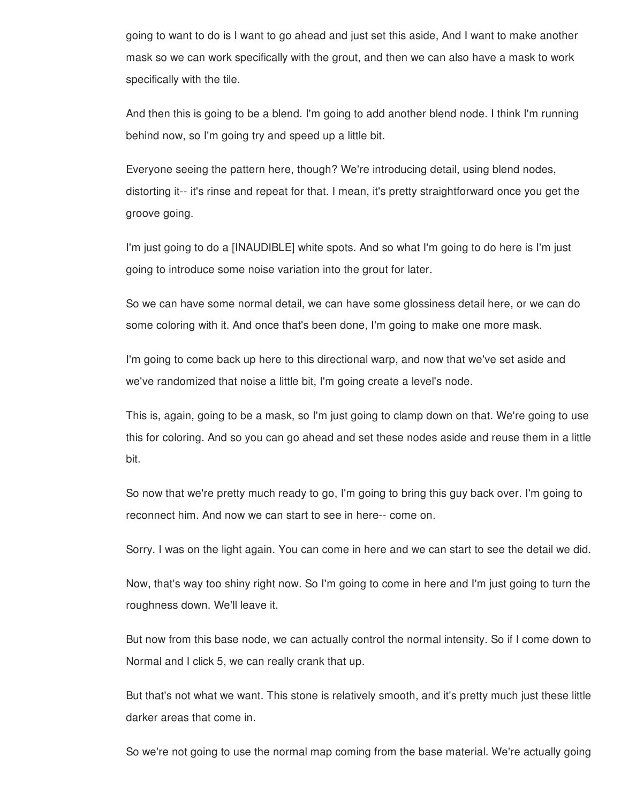going to want to do is I want to go ahead and just set this aside, And I want to make another mask so we can work specifically with the grout, and then we can also have a mask to work specifically with the tile.

And then this is going to be a blend. I'm going to add another blend node. I think I'm running behind now, so I'm going try and speed up a little bit.

Everyone seeing the pattern here, though? We're introducing detail, using blend nodes, distorting it-- it's rinse and repeat for that. I mean, it's pretty straightforward once you get the groove going.

I'm just going to do a [INAUDIBLE] white spots. And so what I'm going to do here is I'm just going to introduce some noise variation into the grout for later.

So we can have some normal detail, we can have some glossiness detail here, or we can do some coloring with it. And once that's been done, I'm going to make one more mask.

I'm going to come back up here to this directional warp, and now that we've set aside and we've randomized that noise a little bit, I'm going create a level's node.

This is, again, going to be a mask, so I'm just going to clamp down on that. We're going to use this for coloring. And so you can go ahead and set these nodes aside and reuse them in a little bit.

So now that we're pretty much ready to go, I'm going to bring this guy back over. I'm going to reconnect him. And now we can start to see in here-- come on.

Sorry. I was on the light again. You can come in here and we can start to see the detail we did.

Now, that's way too shiny right now. So I'm going to come in here and I'm just going to turn the roughness down. We'll leave it.

But now from this base node, we can actually control the normal intensity. So if I come down to Normal and I click 5, we can really crank that up.

But that's not what we want. This stone is relatively smooth, and it's pretty much just these little darker areas that come in.

So we're not going to use the normal map coming from the base material. We're actually going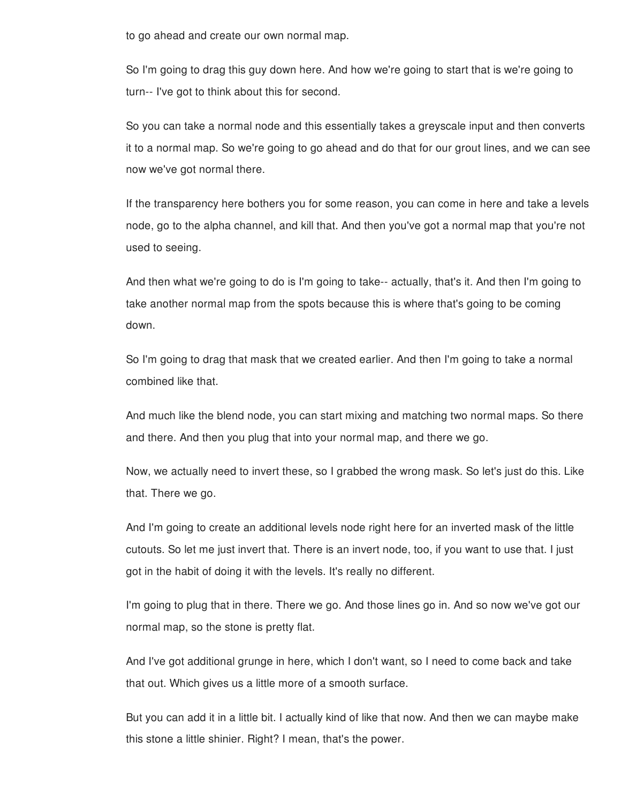to go ahead and create our own normal map.

So I'm going to drag this guy down here. And how we're going to start that is we're going to turn-- I've got to think about this for second.

So you can take a normal node and this essentially takes a greyscale input and then converts it to a normal map. So we're going to go ahead and do that for our grout lines, and we can see now we've got normal there.

If the transparency here bothers you for some reason, you can come in here and take a levels node, go to the alpha channel, and kill that. And then you've got a normal map that you're not used to seeing.

And then what we're going to do is I'm going to take-- actually, that's it. And then I'm going to take another normal map from the spots because this is where that's going to be coming down.

So I'm going to drag that mask that we created earlier. And then I'm going to take a normal combined like that.

And much like the blend node, you can start mixing and matching two normal maps. So there and there. And then you plug that into your normal map, and there we go.

Now, we actually need to invert these, so I grabbed the wrong mask. So let's just do this. Like that. There we go.

And I'm going to create an additional levels node right here for an inverted mask of the little cutouts. So let me just invert that. There is an invert node, too, if you want to use that. I just got in the habit of doing it with the levels. It's really no different.

I'm going to plug that in there. There we go. And those lines go in. And so now we've got our normal map, so the stone is pretty flat.

And I've got additional grunge in here, which I don't want, so I need to come back and take that out. Which gives us a little more of a smooth surface.

But you can add it in a little bit. I actually kind of like that now. And then we can maybe make this stone a little shinier. Right? I mean, that's the power.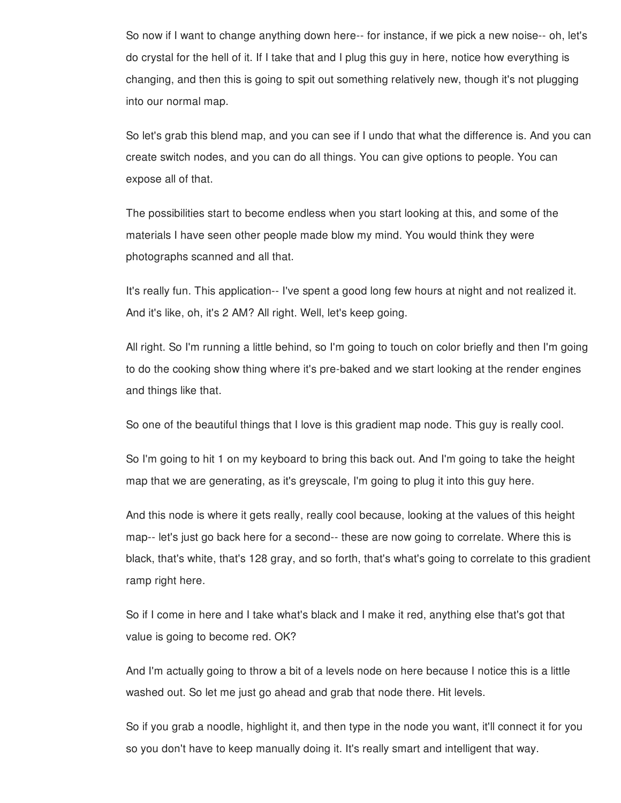So now if I want to change anything down here-- for instance, if we pick a new noise-- oh, let's do crystal for the hell of it. If I take that and I plug this guy in here, notice how everything is changing, and then this is going to spit out something relatively new, though it's not plugging into our normal map.

So let's grab this blend map, and you can see if I undo that what the difference is. And you can create switch nodes, and you can do all things. You can give options to people. You can expose all of that.

The possibilities start to become endless when you start looking at this, and some of the materials I have seen other people made blow my mind. You would think they were photographs scanned and all that.

It's really fun. This application-- I've spent a good long few hours at night and not realized it. And it's like, oh, it's 2 AM? All right. Well, let's keep going.

All right. So I'm running a little behind, so I'm going to touch on color briefly and then I'm going to do the cooking show thing where it's pre-baked and we start looking at the render engines and things like that.

So one of the beautiful things that I love is this gradient map node. This guy is really cool.

So I'm going to hit 1 on my keyboard to bring this back out. And I'm going to take the height map that we are generating, as it's greyscale, I'm going to plug it into this guy here.

And this node is where it gets really, really cool because, looking at the values of this height map-- let's just go back here for a second-- these are now going to correlate. Where this is black, that's white, that's 128 gray, and so forth, that's what's going to correlate to this gradient ramp right here.

So if I come in here and I take what's black and I make it red, anything else that's got that value is going to become red. OK?

And I'm actually going to throw a bit of a levels node on here because I notice this is a little washed out. So let me just go ahead and grab that node there. Hit levels.

So if you grab a noodle, highlight it, and then type in the node you want, it'll connect it for you so you don't have to keep manually doing it. It's really smart and intelligent that way.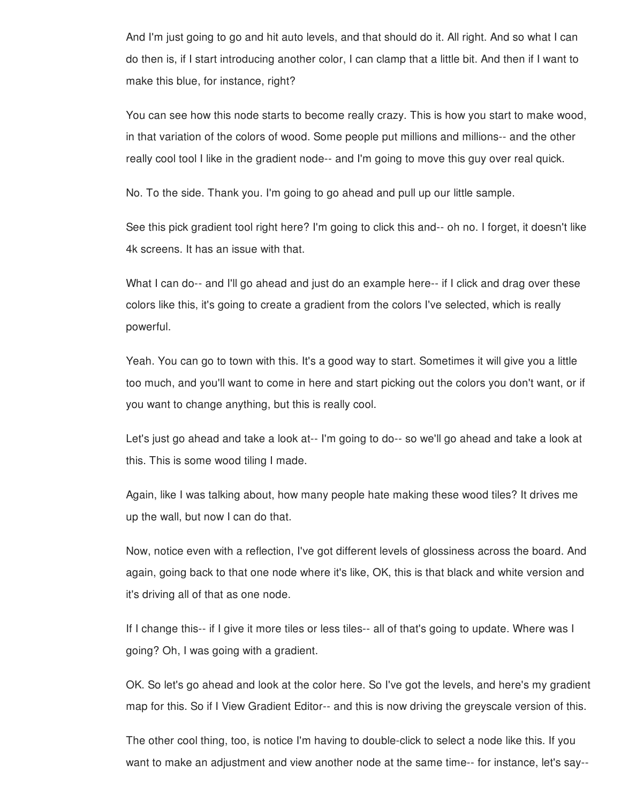And I'm just going to go and hit auto levels, and that should do it. All right. And so what I can do then is, if I start introducing another color, I can clamp that a little bit. And then if I want to make this blue, for instance, right?

You can see how this node starts to become really crazy. This is how you start to make wood, in that variation of the colors of wood. Some people put millions and millions-- and the other really cool tool I like in the gradient node-- and I'm going to move this guy over real quick.

No. To the side. Thank you. I'm going to go ahead and pull up our little sample.

See this pick gradient tool right here? I'm going to click this and-- oh no. I forget, it doesn't like 4k screens. It has an issue with that.

What I can do-- and I'll go ahead and just do an example here-- if I click and drag over these colors like this, it's going to create a gradient from the colors I've selected, which is really powerful.

Yeah. You can go to town with this. It's a good way to start. Sometimes it will give you a little too much, and you'll want to come in here and start picking out the colors you don't want, or if you want to change anything, but this is really cool.

Let's just go ahead and take a look at-- I'm going to do-- so we'll go ahead and take a look at this. This is some wood tiling I made.

Again, like I was talking about, how many people hate making these wood tiles? It drives me up the wall, but now I can do that.

Now, notice even with a reflection, I've got different levels of glossiness across the board. And again, going back to that one node where it's like, OK, this is that black and white version and it's driving all of that as one node.

If I change this-- if I give it more tiles or less tiles-- all of that's going to update. Where was I going? Oh, I was going with a gradient.

OK. So let's go ahead and look at the color here. So I've got the levels, and here's my gradient map for this. So if I View Gradient Editor-- and this is now driving the greyscale version of this.

The other cool thing, too, is notice I'm having to double-click to select a node like this. If you want to make an adjustment and view another node at the same time-- for instance, let's say--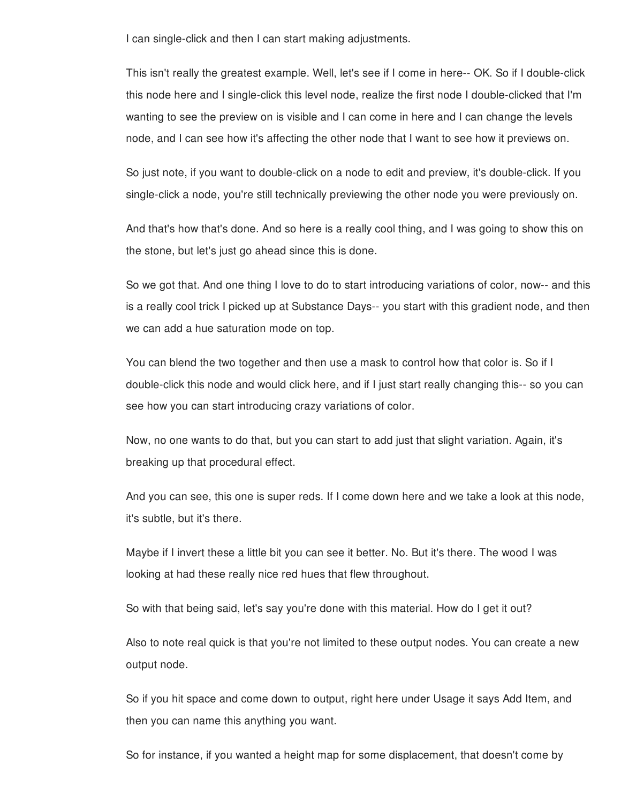I can single-click and then I can start making adjustments.

This isn't really the greatest example. Well, let's see if I come in here-- OK. So if I double-click this node here and I single-click this level node, realize the first node I double-clicked that I'm wanting to see the preview on is visible and I can come in here and I can change the levels node, and I can see how it's affecting the other node that I want to see how it previews on.

So just note, if you want to double-click on a node to edit and preview, it's double-click. If you single-click a node, you're still technically previewing the other node you were previously on.

And that's how that's done. And so here is a really cool thing, and I was going to show this on the stone, but let's just go ahead since this is done.

So we got that. And one thing I love to do to start introducing variations of color, now-- and this is a really cool trick I picked up at Substance Days-- you start with this gradient node, and then we can add a hue saturation mode on top.

You can blend the two together and then use a mask to control how that color is. So if I double-click this node and would click here, and if I just start really changing this-- so you can see how you can start introducing crazy variations of color.

Now, no one wants to do that, but you can start to add just that slight variation. Again, it's breaking up that procedural effect.

And you can see, this one is super reds. If I come down here and we take a look at this node, it's subtle, but it's there.

Maybe if I invert these a little bit you can see it better. No. But it's there. The wood I was looking at had these really nice red hues that flew throughout.

So with that being said, let's say you're done with this material. How do I get it out?

Also to note real quick is that you're not limited to these output nodes. You can create a new output node.

So if you hit space and come down to output, right here under Usage it says Add Item, and then you can name this anything you want.

So for instance, if you wanted a height map for some displacement, that doesn't come by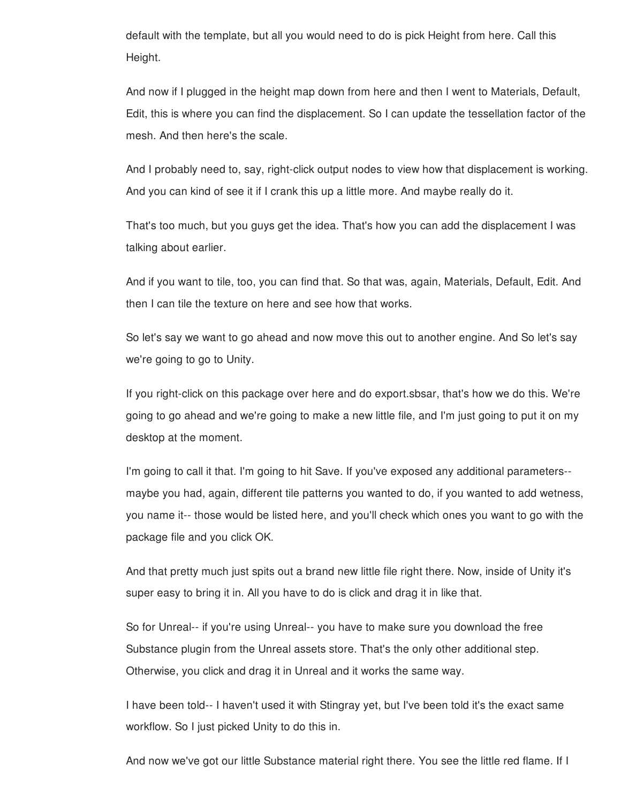default with the template, but all you would need to do is pick Height from here. Call this Height.

And now if I plugged in the height map down from here and then I went to Materials, Default, Edit, this is where you can find the displacement. So I can update the tessellation factor of the mesh. And then here's the scale.

And I probably need to, say, right-click output nodes to view how that displacement is working. And you can kind of see it if I crank this up a little more. And maybe really do it.

That's too much, but you guys get the idea. That's how you can add the displacement I was talking about earlier.

And if you want to tile, too, you can find that. So that was, again, Materials, Default, Edit. And then I can tile the texture on here and see how that works.

So let's say we want to go ahead and now move this out to another engine. And So let's say we're going to go to Unity.

If you right-click on this package over here and do export.sbsar, that's how we do this. We're going to go ahead and we're going to make a new little file, and I'm just going to put it on my desktop at the moment.

I'm going to call it that. I'm going to hit Save. If you've exposed any additional parameters- maybe you had, again, different tile patterns you wanted to do, if you wanted to add wetness, you name it-- those would be listed here, and you'll check which ones you want to go with the package file and you click OK.

And that pretty much just spits out a brand new little file right there. Now, inside of Unity it's super easy to bring it in. All you have to do is click and drag it in like that.

So for Unreal-- if you're using Unreal-- you have to make sure you download the free Substance plugin from the Unreal assets store. That's the only other additional step. Otherwise, you click and drag it in Unreal and it works the same way.

I have been told-- I haven't used it with Stingray yet, but I've been told it's the exact same workflow. So I just picked Unity to do this in.

And now we've got our little Substance material right there. You see the little red flame. If I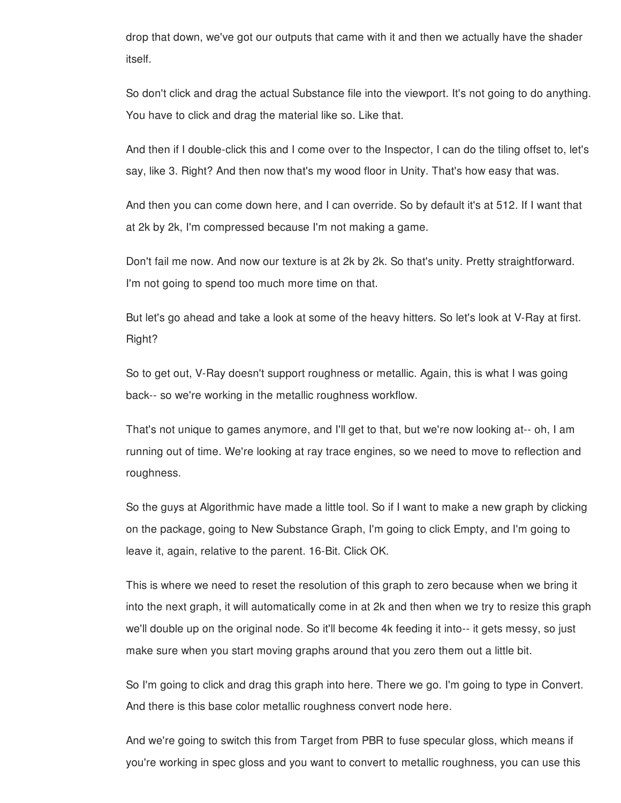drop that down, we've got our outputs that came with it and then we actually have the shader itself.

So don't click and drag the actual Substance file into the viewport. It's not going to do anything. You have to click and drag the material like so. Like that.

And then if I double-click this and I come over to the Inspector, I can do the tiling offset to, let's say, like 3. Right? And then now that's my wood floor in Unity. That's how easy that was.

And then you can come down here, and I can override. So by default it's at 512. If I want that at 2k by 2k, I'm compressed because I'm not making a game.

Don't fail me now. And now our texture is at 2k by 2k. So that's unity. Pretty straightforward. I'm not going to spend too much more time on that.

But let's go ahead and take a look at some of the heavy hitters. So let's look at V-Ray at first. Right?

So to get out, V-Ray doesn't support roughness or metallic. Again, this is what I was going back-- so we're working in the metallic roughness workflow.

That's not unique to games anymore, and I'll get to that, but we're now looking at-- oh, I am running out of time. We're looking at ray trace engines, so we need to move to reflection and roughness.

So the guys at Algorithmic have made a little tool. So if I want to make a new graph by clicking on the package, going to New Substance Graph, I'm going to click Empty, and I'm going to leave it, again, relative to the parent. 16-Bit. Click OK.

This is where we need to reset the resolution of this graph to zero because when we bring it into the next graph, it will automatically come in at 2k and then when we try to resize this graph we'll double up on the original node. So it'll become 4k feeding it into-- it gets messy, so just make sure when you start moving graphs around that you zero them out a little bit.

So I'm going to click and drag this graph into here. There we go. I'm going to type in Convert. And there is this base color metallic roughness convert node here.

And we're going to switch this from Target from PBR to fuse specular gloss, which means if you're working in spec gloss and you want to convert to metallic roughness, you can use this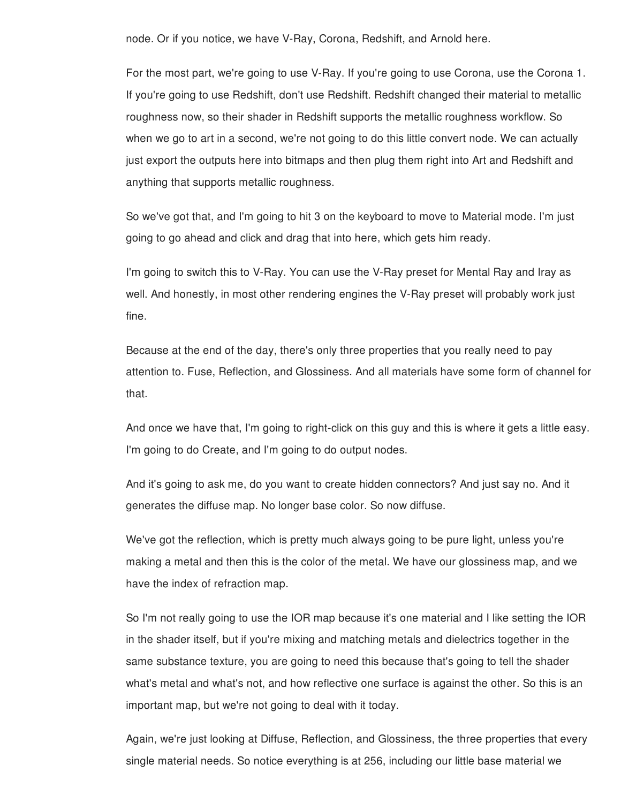node. Or if you notice, we have V-Ray, Corona, Redshift, and Arnold here.

For the most part, we're going to use V-Ray. If you're going to use Corona, use the Corona 1. If you're going to use Redshift, don't use Redshift. Redshift changed their material to metallic roughness now, so their shader in Redshift supports the metallic roughness workflow. So when we go to art in a second, we're not going to do this little convert node. We can actually just export the outputs here into bitmaps and then plug them right into Art and Redshift and anything that supports metallic roughness.

So we've got that, and I'm going to hit 3 on the keyboard to move to Material mode. I'm just going to go ahead and click and drag that into here, which gets him ready.

I'm going to switch this to V-Ray. You can use the V-Ray preset for Mental Ray and Iray as well. And honestly, in most other rendering engines the V-Ray preset will probably work just fine.

Because at the end of the day, there's only three properties that you really need to pay attention to. Fuse, Reflection, and Glossiness. And all materials have some form of channel for that.

And once we have that, I'm going to right-click on this guy and this is where it gets a little easy. I'm going to do Create, and I'm going to do output nodes.

And it's going to ask me, do you want to create hidden connectors? And just say no. And it generates the diffuse map. No longer base color. So now diffuse.

We've got the reflection, which is pretty much always going to be pure light, unless you're making a metal and then this is the color of the metal. We have our glossiness map, and we have the index of refraction map.

So I'm not really going to use the IOR map because it's one material and I like setting the IOR in the shader itself, but if you're mixing and matching metals and dielectrics together in the same substance texture, you are going to need this because that's going to tell the shader what's metal and what's not, and how reflective one surface is against the other. So this is an important map, but we're not going to deal with it today.

Again, we're just looking at Diffuse, Reflection, and Glossiness, the three properties that every single material needs. So notice everything is at 256, including our little base material we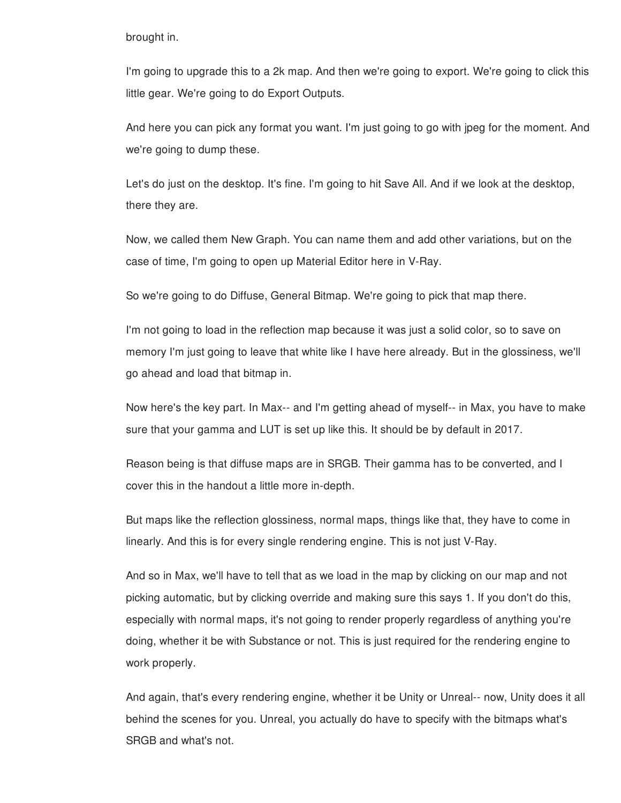brought in.

I'm going to upgrade this to a 2k map. And then we're going to export. We're going to click this little gear. We're going to do Export Outputs.

And here you can pick any format you want. I'm just going to go with jpeg for the moment. And we're going to dump these.

Let's do just on the desktop. It's fine. I'm going to hit Save All. And if we look at the desktop, there they are.

Now, we called them New Graph. You can name them and add other variations, but on the case of time, I'm going to open up Material Editor here in V-Ray.

So we're going to do Diffuse, General Bitmap. We're going to pick that map there.

I'm not going to load in the reflection map because it was just a solid color, so to save on memory I'm just going to leave that white like I have here already. But in the glossiness, we'll go ahead and load that bitmap in.

Now here's the key part. In Max-- and I'm getting ahead of myself-- in Max, you have to make sure that your gamma and LUT is set up like this. It should be by default in 2017.

Reason being is that diffuse maps are in SRGB. Their gamma has to be converted, and I cover this in the handout a little more in-depth.

But maps like the reflection glossiness, normal maps, things like that, they have to come in linearly. And this is for every single rendering engine. This is not just V-Ray.

And so in Max, we'll have to tell that as we load in the map by clicking on our map and not picking automatic, but by clicking override and making sure this says 1. If you don't do this, especially with normal maps, it's not going to render properly regardless of anything you're doing, whether it be with Substance or not. This is just required for the rendering engine to work properly.

And again, that's every rendering engine, whether it be Unity or Unreal-- now, Unity does it all behind the scenes for you. Unreal, you actually do have to specify with the bitmaps what's SRGB and what's not.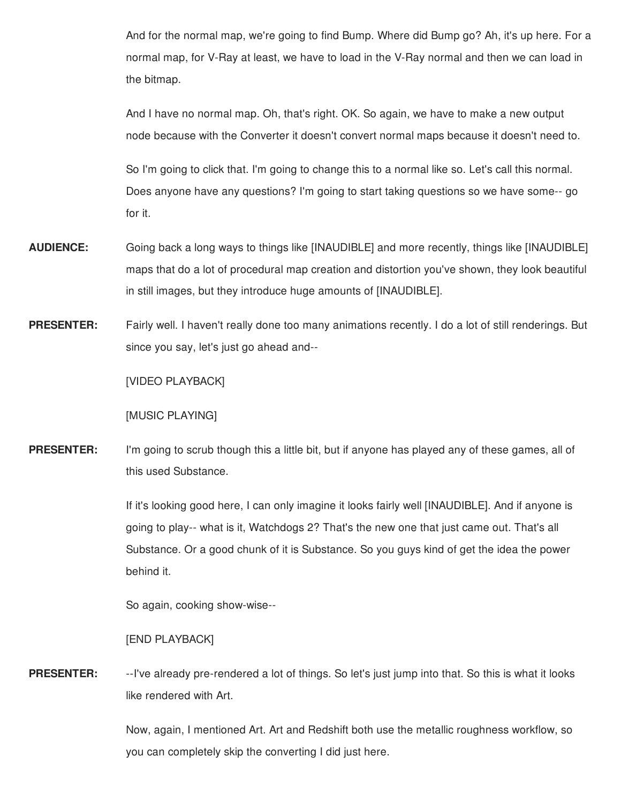And for the normal map, we're going to find Bump. Where did Bump go? Ah, it's up here. For a normal map, for V-Ray at least, we have to load in the V-Ray normal and then we can load in the bitmap.

And I have no normal map. Oh, that's right. OK. So again, we have to make a new output node because with the Converter it doesn't convert normal maps because it doesn't need to.

So I'm going to click that. I'm going to change this to a normal like so. Let's call this normal. Does anyone have any questions? I'm going to start taking questions so we have some-- go for it.

- **AUDIENCE:** Going back a long ways to things like [INAUDIBLE] and more recently, things like [INAUDIBLE] maps that do a lot of procedural map creation and distortion you've shown, they look beautiful in still images, but they introduce huge amounts of [INAUDIBLE].
- **PRESENTER:** Fairly well. I haven't really done too many animations recently. I do a lot of still renderings. But since you say, let's just go ahead and--

[VIDEO PLAYBACK]

[MUSIC PLAYING]

**PRESENTER:** I'm going to scrub though this a little bit, but if anyone has played any of these games, all of this used Substance.

> If it's looking good here, I can only imagine it looks fairly well [INAUDIBLE]. And if anyone is going to play-- what is it, Watchdogs 2? That's the new one that just came out. That's all Substance. Or a good chunk of it is Substance. So you guys kind of get the idea the power behind it.

So again, cooking show-wise--

[END PLAYBACK]

**PRESENTER:** --I've already pre-rendered a lot of things. So let's just jump into that. So this is what it looks like rendered with Art.

> Now, again, I mentioned Art. Art and Redshift both use the metallic roughness workflow, so you can completely skip the converting I did just here.